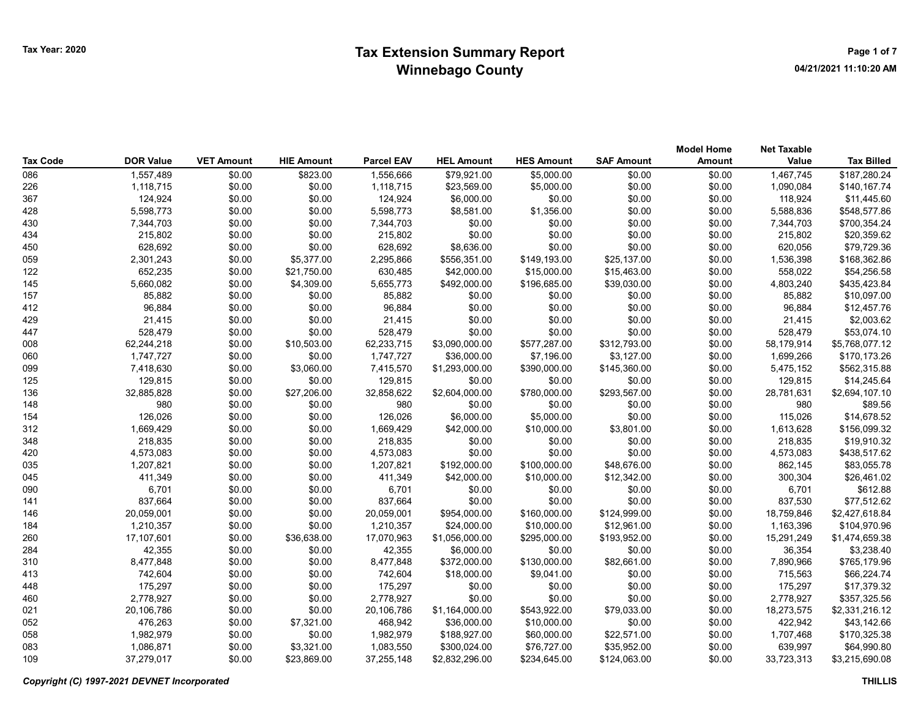| Tax Code | <b>DOR Value</b> | <b>VET Amount</b> | <b>HIE Amount</b> | <b>Parcel EAV</b> | <b>HEL Amount</b> | <b>HES Amount</b> | <b>SAF Amount</b> | <b>Model Home</b><br><b>Amount</b> | <b>Net Taxable</b><br>Value | <b>Tax Billed</b> |
|----------|------------------|-------------------|-------------------|-------------------|-------------------|-------------------|-------------------|------------------------------------|-----------------------------|-------------------|
| 086      | 1,557,489        | \$0.00            | \$823.00          | 1,556,666         | \$79,921.00       | \$5,000.00        | \$0.00            | \$0.00                             | 1,467,745                   | \$187,280.24      |
| 226      | 1,118,715        | \$0.00            | \$0.00            | 1,118,715         | \$23,569.00       | \$5,000.00        | \$0.00            | \$0.00                             | 1,090,084                   | \$140,167.74      |
| 367      | 124,924          | \$0.00            | \$0.00            | 124,924           | \$6,000.00        | \$0.00            | \$0.00            | \$0.00                             | 118,924                     | \$11,445.60       |
| 428      | 5,598,773        | \$0.00            | \$0.00            | 5,598,773         | \$8,581.00        | \$1,356.00        | \$0.00            | \$0.00                             | 5,588,836                   | \$548,577.86      |
| 430      | 7,344,703        | \$0.00            | \$0.00            | 7,344,703         | \$0.00            | \$0.00            | \$0.00            | \$0.00                             | 7,344,703                   | \$700,354.24      |
| 434      | 215,802          | \$0.00            | \$0.00            | 215,802           | \$0.00            | \$0.00            | \$0.00            | \$0.00                             | 215,802                     | \$20,359.62       |
| 450      | 628,692          | \$0.00            | \$0.00            | 628,692           | \$8,636.00        | \$0.00            | \$0.00            | \$0.00                             | 620,056                     | \$79,729.36       |
| 059      | 2,301,243        | \$0.00            | \$5,377.00        | 2,295,866         | \$556,351.00      | \$149,193.00      | \$25,137.00       | \$0.00                             | 1,536,398                   | \$168,362.86      |
| 122      | 652,235          | \$0.00            | \$21,750.00       | 630,485           | \$42,000.00       | \$15,000.00       | \$15,463.00       | \$0.00                             | 558,022                     | \$54,256.58       |
| 145      | 5,660,082        | \$0.00            | \$4,309.00        | 5,655,773         | \$492,000.00      | \$196,685.00      | \$39,030.00       | \$0.00                             | 4,803,240                   | \$435,423.84      |
| 157      | 85,882           | \$0.00            | \$0.00            | 85,882            | \$0.00            | \$0.00            | \$0.00            | \$0.00                             | 85,882                      | \$10,097.00       |
| 412      | 96,884           | \$0.00            | \$0.00            | 96,884            | \$0.00            | \$0.00            | \$0.00            | \$0.00                             | 96,884                      | \$12,457.76       |
| 429      | 21,415           | \$0.00            | \$0.00            | 21,415            | \$0.00            | \$0.00            | \$0.00            | \$0.00                             | 21,415                      | \$2,003.62        |
| 447      | 528,479          | \$0.00            | \$0.00            | 528,479           | \$0.00            | \$0.00            | \$0.00            | \$0.00                             | 528,479                     | \$53,074.10       |
| 008      | 62,244,218       | \$0.00            | \$10,503.00       | 62,233,715        | \$3,090,000.00    | \$577,287.00      | \$312,793.00      | \$0.00                             | 58,179,914                  | \$5,768,077.12    |
| 060      | 1,747,727        | \$0.00            | \$0.00            | 1,747,727         | \$36,000.00       | \$7,196.00        | \$3,127.00        | \$0.00                             | 1,699,266                   | \$170,173.26      |
| 099      | 7,418,630        | \$0.00            | \$3,060.00        | 7,415,570         | \$1,293,000.00    | \$390,000.00      | \$145,360.00      | \$0.00                             | 5,475,152                   | \$562,315.88      |
| 125      | 129,815          | \$0.00            | \$0.00            | 129,815           | \$0.00            | \$0.00            | \$0.00            | \$0.00                             | 129,815                     | \$14,245.64       |
| 136      | 32,885,828       | \$0.00            | \$27,206.00       | 32,858,622        | \$2,604,000.00    | \$780,000.00      | \$293,567.00      | \$0.00                             | 28,781,631                  | \$2,694,107.10    |
| 148      | 980              | \$0.00            | \$0.00            | 980               | \$0.00            | \$0.00            | \$0.00            | \$0.00                             | 980                         | \$89.56           |
| 154      | 126,026          | \$0.00            | \$0.00            | 126,026           | \$6,000.00        | \$5,000.00        | \$0.00            | \$0.00                             | 115,026                     | \$14,678.52       |
| 312      | 1,669,429        | \$0.00            | \$0.00            | 1,669,429         | \$42,000.00       | \$10,000.00       | \$3,801.00        | \$0.00                             | 1,613,628                   | \$156,099.32      |
| 348      | 218,835          | \$0.00            | \$0.00            | 218,835           | \$0.00            | \$0.00            | \$0.00            | \$0.00                             | 218,835                     | \$19,910.32       |
| 420      | 4,573,083        | \$0.00            | \$0.00            | 4,573,083         | \$0.00            | \$0.00            | \$0.00            | \$0.00                             | 4,573,083                   | \$438,517.62      |
| 035      | 1,207,821        | \$0.00            | \$0.00            | 1,207,821         | \$192,000.00      | \$100,000.00      | \$48,676.00       | \$0.00                             | 862,145                     | \$83,055.78       |
| 045      | 411,349          | \$0.00            | \$0.00            | 411,349           | \$42,000.00       | \$10,000.00       | \$12,342.00       | \$0.00                             | 300,304                     | \$26,461.02       |
| 090      | 6,701            | \$0.00            | \$0.00            | 6,701             | \$0.00            | \$0.00            | \$0.00            | \$0.00                             | 6,701                       | \$612.88          |
| 141      | 837,664          | \$0.00            | \$0.00            | 837,664           | \$0.00            | \$0.00            | \$0.00            | \$0.00                             | 837,530                     | \$77,512.62       |
| 146      | 20,059,001       | \$0.00            | \$0.00            | 20,059,001        | \$954,000.00      | \$160,000.00      | \$124,999.00      | \$0.00                             | 18,759,846                  | \$2,427,618.84    |
| 184      | 1,210,357        | \$0.00            | \$0.00            | 1,210,357         | \$24,000.00       | \$10,000.00       | \$12,961.00       | \$0.00                             | 1,163,396                   | \$104,970.96      |
| 260      | 17,107,601       | \$0.00            | \$36,638.00       | 17,070,963        | \$1,056,000.00    | \$295,000.00      | \$193,952.00      | \$0.00                             | 15,291,249                  | \$1,474,659.38    |
| 284      | 42,355           | \$0.00            | \$0.00            | 42,355            | \$6,000.00        | \$0.00            | \$0.00            | \$0.00                             | 36,354                      | \$3,238.40        |
| 310      | 8,477,848        | \$0.00            | \$0.00            | 8,477,848         | \$372,000.00      | \$130,000.00      | \$82,661.00       | \$0.00                             | 7,890,966                   | \$765,179.96      |
| 413      | 742,604          | \$0.00            | \$0.00            | 742,604           | \$18,000.00       | \$9,041.00        | \$0.00            | \$0.00                             | 715,563                     | \$66,224.74       |
| 448      | 175,297          | \$0.00            | \$0.00            | 175,297           | \$0.00            | \$0.00            | \$0.00            | \$0.00                             | 175,297                     | \$17,379.32       |
| 460      | 2,778,927        | \$0.00            | \$0.00            | 2,778,927         | \$0.00            | \$0.00            | \$0.00            | \$0.00                             | 2,778,927                   | \$357,325.56      |
| 021      | 20,106,786       | \$0.00            | \$0.00            | 20,106,786        | \$1,164,000.00    | \$543,922.00      | \$79,033.00       | \$0.00                             | 18,273,575                  | \$2,331,216.12    |
| 052      | 476,263          | \$0.00            | \$7,321.00        | 468,942           | \$36,000.00       | \$10,000.00       | \$0.00            | \$0.00                             | 422,942                     | \$43,142.66       |
| 058      | 1,982,979        | \$0.00            | \$0.00            | 1,982,979         | \$188,927.00      | \$60,000.00       | \$22,571.00       | \$0.00                             | 1,707,468                   | \$170,325.38      |
| 083      | 1,086,871        | \$0.00            | \$3,321.00        | 1,083,550         | \$300,024.00      | \$76,727.00       | \$35,952.00       | \$0.00                             | 639,997                     | \$64,990.80       |
| 109      | 37,279,017       | \$0.00            | \$23,869.00       | 37.255.148        | \$2,832,296.00    | \$234.645.00      | \$124,063.00      | \$0.00                             | 33,723,313                  | \$3,215,690.08    |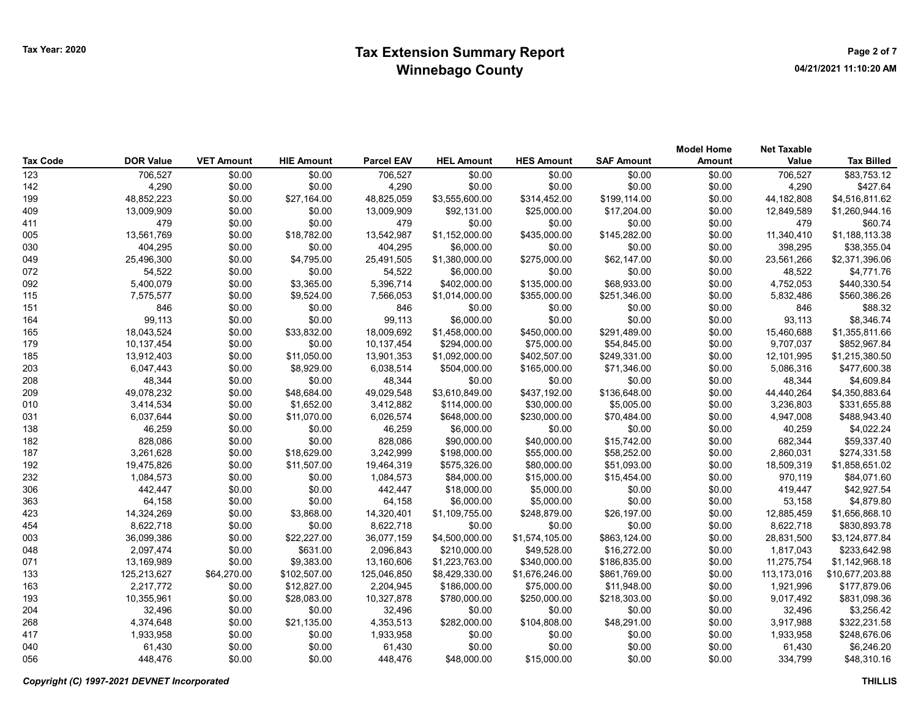| <b>Tax Code</b> | <b>DOR Value</b> | <b>VET Amount</b> | <b>HIE Amount</b> | <b>Parcel EAV</b> | <b>HEL Amount</b> | <b>HES Amount</b> | <b>SAF Amount</b> | <b>Model Home</b><br><b>Amount</b> | <b>Net Taxable</b><br>Value | <b>Tax Billed</b> |
|-----------------|------------------|-------------------|-------------------|-------------------|-------------------|-------------------|-------------------|------------------------------------|-----------------------------|-------------------|
| 123             | 706,527          | \$0.00            | \$0.00            | 706,527           | \$0.00            | \$0.00            | \$0.00            | \$0.00                             | 706,527                     | \$83,753.12       |
| 142             | 4,290            | \$0.00            | \$0.00            | 4,290             | \$0.00            | \$0.00            | \$0.00            | \$0.00                             | 4,290                       | \$427.64          |
| 199             | 48,852,223       | \$0.00            | \$27,164.00       | 48,825,059        | \$3,555,600.00    | \$314,452.00      | \$199,114.00      | \$0.00                             | 44,182,808                  | \$4,516,811.62    |
| 409             | 13,009,909       | \$0.00            | \$0.00            | 13,009,909        | \$92,131.00       | \$25,000.00       | \$17,204.00       | \$0.00                             | 12,849,589                  | \$1,260,944.16    |
| 411             | 479              | \$0.00            | \$0.00            | 479               | \$0.00            | \$0.00            | \$0.00            | \$0.00                             | 479                         | \$60.74           |
| 005             | 13,561,769       | \$0.00            | \$18,782.00       | 13,542,987        | \$1,152,000.00    | \$435,000.00      | \$145,282.00      | \$0.00                             | 11,340,410                  | \$1,188,113.38    |
| 030             | 404,295          | \$0.00            | \$0.00            | 404,295           | \$6,000.00        | \$0.00            | \$0.00            | \$0.00                             | 398,295                     | \$38,355.04       |
| 049             | 25,496,300       | \$0.00            | \$4,795.00        | 25,491,505        | \$1,380,000.00    | \$275,000.00      | \$62,147.00       | \$0.00                             | 23,561,266                  | \$2,371,396.06    |
| 072             | 54,522           | \$0.00            | \$0.00            | 54,522            | \$6,000.00        | \$0.00            | \$0.00            | \$0.00                             | 48,522                      | \$4,771.76        |
| 092             | 5,400,079        | \$0.00            | \$3,365.00        | 5,396,714         | \$402,000.00      | \$135,000.00      | \$68,933.00       | \$0.00                             | 4,752,053                   | \$440,330.54      |
| 115             | 7,575,577        | \$0.00            | \$9,524.00        | 7,566,053         | \$1,014,000.00    | \$355,000.00      | \$251,346.00      | \$0.00                             | 5,832,486                   | \$560,386.26      |
| 151             | 846              | \$0.00            | \$0.00            | 846               | \$0.00            | \$0.00            | \$0.00            | \$0.00                             | 846                         | \$88.32           |
| 164             | 99,113           | \$0.00            | \$0.00            | 99,113            | \$6,000.00        | \$0.00            | \$0.00            | \$0.00                             | 93,113                      | \$8,346.74        |
| 165             | 18,043,524       | \$0.00            | \$33,832.00       | 18,009,692        | \$1,458,000.00    | \$450,000.00      | \$291,489.00      | \$0.00                             | 15,460,688                  | \$1,355,811.66    |
| 179             | 10,137,454       | \$0.00            | \$0.00            | 10,137,454        | \$294,000.00      | \$75,000.00       | \$54,845.00       | \$0.00                             | 9,707,037                   | \$852,967.84      |
| 185             | 13,912,403       | \$0.00            | \$11,050.00       | 13,901,353        | \$1,092,000.00    | \$402,507.00      | \$249,331.00      | \$0.00                             | 12,101,995                  | \$1,215,380.50    |
| 203             | 6,047,443        | \$0.00            | \$8,929.00        | 6,038,514         | \$504,000.00      | \$165,000.00      | \$71,346.00       | \$0.00                             | 5,086,316                   | \$477,600.38      |
| 208             | 48,344           | \$0.00            | \$0.00            | 48,344            | \$0.00            | \$0.00            | \$0.00            | \$0.00                             | 48,344                      | \$4,609.84        |
| 209             | 49,078,232       | \$0.00            | \$48,684.00       | 49,029,548        | \$3,610,849.00    | \$437,192.00      | \$136,648.00      | \$0.00                             | 44,440,264                  | \$4,350,883.64    |
| 010             | 3,414,534        | \$0.00            | \$1,652.00        | 3,412,882         | \$114,000.00      | \$30,000.00       | \$5,005.00        | \$0.00                             | 3,236,803                   | \$331,655.88      |
| 031             | 6,037,644        | \$0.00            | \$11,070.00       | 6,026,574         | \$648,000.00      | \$230,000.00      | \$70,484.00       | \$0.00                             | 4,947,008                   | \$488,943.40      |
| 138             | 46,259           | \$0.00            | \$0.00            | 46,259            | \$6,000.00        | \$0.00            | \$0.00            | \$0.00                             | 40,259                      | \$4,022.24        |
| 182             | 828,086          | \$0.00            | \$0.00            | 828,086           | \$90,000.00       | \$40,000.00       | \$15,742.00       | \$0.00                             | 682,344                     | \$59,337.40       |
| 187             | 3,261,628        | \$0.00            | \$18,629.00       | 3,242,999         | \$198,000.00      | \$55,000.00       | \$58,252.00       | \$0.00                             | 2,860,031                   | \$274,331.58      |
| 192             | 19,475,826       | \$0.00            | \$11,507.00       | 19,464,319        | \$575,326.00      | \$80,000.00       | \$51,093.00       | \$0.00                             | 18,509,319                  | \$1,858,651.02    |
| 232             | 1,084,573        | \$0.00            | \$0.00            | 1,084,573         | \$84,000.00       | \$15,000.00       | \$15,454.00       | \$0.00                             | 970,119                     | \$84,071.60       |
| 306             | 442,447          | \$0.00            | \$0.00            | 442,447           | \$18,000.00       | \$5,000.00        | \$0.00            | \$0.00                             | 419,447                     | \$42,927.54       |
| 363             | 64,158           | \$0.00            | \$0.00            | 64,158            | \$6,000.00        | \$5,000.00        | \$0.00            | \$0.00                             | 53,158                      | \$4,879.80        |
| 423             | 14,324,269       | \$0.00            | \$3,868.00        | 14,320,401        | \$1,109,755.00    | \$248,879.00      | \$26,197.00       | \$0.00                             | 12,885,459                  | \$1,656,868.10    |
| 454             | 8,622,718        | \$0.00            | \$0.00            | 8,622,718         | \$0.00            | \$0.00            | \$0.00            | \$0.00                             | 8,622,718                   | \$830,893.78      |
| 003             | 36,099,386       | \$0.00            | \$22,227.00       | 36,077,159        | \$4,500,000.00    | \$1,574,105.00    | \$863,124.00      | \$0.00                             | 28,831,500                  | \$3,124,877.84    |
| 048             | 2.097.474        | \$0.00            | \$631.00          | 2,096,843         | \$210,000.00      | \$49.528.00       | \$16,272.00       | \$0.00                             | 1,817,043                   | \$233,642.98      |
| 071             | 13,169,989       | \$0.00            | \$9,383.00        | 13,160,606        | \$1,223,763.00    | \$340,000.00      | \$186,835.00      | \$0.00                             | 11,275,754                  | \$1,142,968.18    |
| 133             | 125,213,627      | \$64,270.00       | \$102,507.00      | 125,046,850       | \$8,429,330.00    | \$1,676,246.00    | \$861,769.00      | \$0.00                             | 113,173,016                 | \$10,677,203.88   |
| 163             | 2,217,772        | \$0.00            | \$12,827.00       | 2,204,945         | \$186,000.00      | \$75,000.00       | \$11,948.00       | \$0.00                             | 1,921,996                   | \$177,879.06      |
| 193             | 10,355,961       | \$0.00            | \$28,083.00       | 10,327,878        | \$780,000.00      | \$250,000.00      | \$218,303.00      | \$0.00                             | 9,017,492                   | \$831,098.36      |
| 204             | 32,496           | \$0.00            | \$0.00            | 32,496            | \$0.00            | \$0.00            | \$0.00            | \$0.00                             | 32,496                      | \$3,256.42        |
| 268             | 4,374,648        | \$0.00            | \$21,135.00       | 4,353,513         | \$282,000.00      | \$104,808.00      | \$48,291.00       | \$0.00                             | 3,917,988                   | \$322,231.58      |
| 417             | 1,933,958        | \$0.00            | \$0.00            | 1,933,958         | \$0.00            | \$0.00            | \$0.00            | \$0.00                             | 1,933,958                   | \$248,676.06      |
| 040             | 61,430           | \$0.00            | \$0.00            | 61,430            | \$0.00            | \$0.00            | \$0.00            | \$0.00                             | 61,430                      | \$6,246.20        |
| 056             | 448,476          | \$0.00            | \$0.00            | 448.476           | \$48,000.00       | \$15,000.00       | \$0.00            | \$0.00                             | 334.799                     | \$48,310.16       |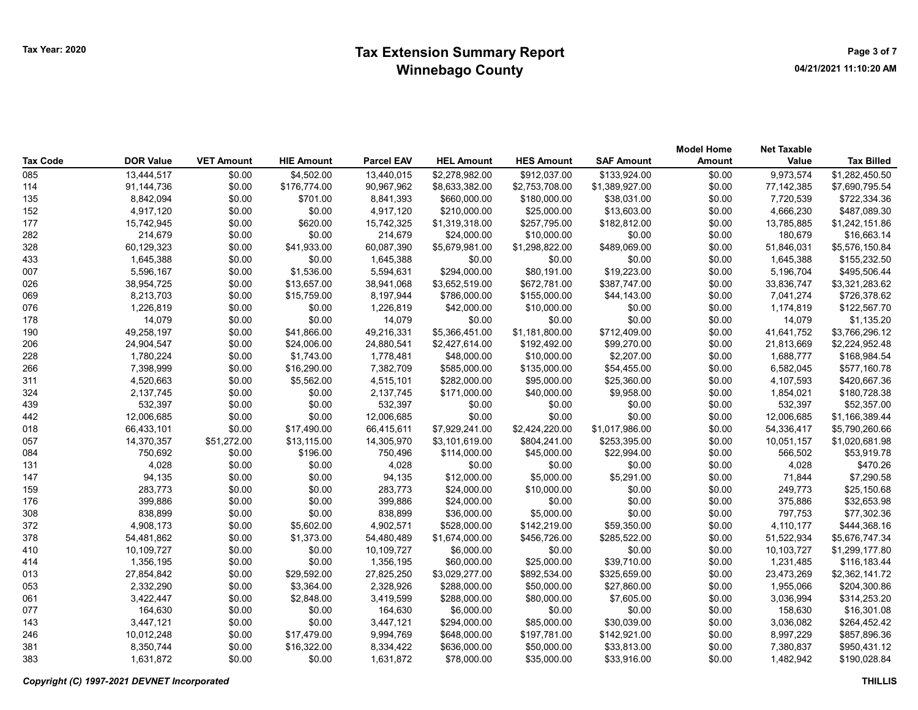|                 |                  |                   |                   |                   |                   |                   |                   | <b>Model Home</b> | <b>Net Taxable</b> |                   |
|-----------------|------------------|-------------------|-------------------|-------------------|-------------------|-------------------|-------------------|-------------------|--------------------|-------------------|
| <b>Tax Code</b> | <b>DOR Value</b> | <b>VET Amount</b> | <b>HIE Amount</b> | <b>Parcel EAV</b> | <b>HEL Amount</b> | <b>HES Amount</b> | <b>SAF Amount</b> | <b>Amount</b>     | Value              | <b>Tax Billed</b> |
| 085             | 13,444,517       | \$0.00            | \$4,502.00        | 13,440,015        | \$2,278,982.00    | \$912,037.00      | \$133,924.00      | \$0.00            | 9,973,574          | \$1,282,450.50    |
| 114             | 91,144,736       | \$0.00            | \$176,774.00      | 90,967,962        | \$8,633,382.00    | \$2,753,708.00    | \$1,389,927.00    | \$0.00            | 77,142,385         | \$7,690,795.54    |
| 135             | 8,842,094        | \$0.00            | \$701.00          | 8,841,393         | \$660,000.00      | \$180,000.00      | \$38,031.00       | \$0.00            | 7,720,539          | \$722,334.36      |
| 152             | 4,917,120        | \$0.00            | \$0.00            | 4,917,120         | \$210,000.00      | \$25,000.00       | \$13,603.00       | \$0.00            | 4,666,230          | \$487,089.30      |
| 177             | 15,742,945       | \$0.00            | \$620.00          | 15,742,325        | \$1,319,318.00    | \$257,795.00      | \$182,812.00      | \$0.00            | 13,785,885         | \$1,242,151.86    |
| 282             | 214,679          | \$0.00            | \$0.00            | 214,679           | \$24,000.00       | \$10,000.00       | \$0.00            | \$0.00            | 180,679            | \$16,663.14       |
| 328             | 60,129,323       | \$0.00            | \$41,933.00       | 60,087,390        | \$5,679,981.00    | \$1,298,822.00    | \$489,069.00      | \$0.00            | 51,846,031         | \$5,576,150.84    |
| 433             | 1,645,388        | \$0.00            | \$0.00            | 1,645,388         | \$0.00            | \$0.00            | \$0.00            | \$0.00            | 1,645,388          | \$155,232.50      |
| 007             | 5,596,167        | \$0.00            | \$1,536.00        | 5,594,631         | \$294,000.00      | \$80,191.00       | \$19,223.00       | \$0.00            | 5,196,704          | \$495,506.44      |
| 026             | 38,954,725       | \$0.00            | \$13,657.00       | 38,941,068        | \$3,652,519.00    | \$672,781.00      | \$387,747.00      | \$0.00            | 33,836,747         | \$3,321,283.62    |
| 069             | 8,213,703        | \$0.00            | \$15,759.00       | 8,197,944         | \$786,000.00      | \$155,000.00      | \$44,143.00       | \$0.00            | 7,041,274          | \$726,378.62      |
| 076             | 1,226,819        | \$0.00            | \$0.00            | 1,226,819         | \$42,000.00       | \$10,000.00       | \$0.00            | \$0.00            | 1,174,819          | \$122,567.70      |
| 178             | 14,079           | \$0.00            | \$0.00            | 14,079            | \$0.00            | \$0.00            | \$0.00            | \$0.00            | 14,079             | \$1,135.20        |
| 190             | 49,258,197       | \$0.00            | \$41,866.00       | 49,216,331        | \$5,366,451.00    | \$1,181,800.00    | \$712,409.00      | \$0.00            | 41,641,752         | \$3,766,296.12    |
| 206             | 24,904,547       | \$0.00            | \$24,006.00       | 24,880,541        | \$2,427,614.00    | \$192,492.00      | \$99,270.00       | \$0.00            | 21,813,669         | \$2,224,952.48    |
| 228             | 1,780,224        | \$0.00            | \$1,743.00        | 1,778,481         | \$48,000.00       | \$10,000.00       | \$2,207.00        | \$0.00            | 1,688,777          | \$168,984.54      |
| 266             | 7,398,999        | \$0.00            | \$16,290.00       | 7,382,709         | \$585,000.00      | \$135,000.00      | \$54,455.00       | \$0.00            | 6,582,045          | \$577,160.78      |
| 311             | 4,520,663        | \$0.00            | \$5,562.00        | 4,515,101         | \$282,000.00      | \$95,000.00       | \$25,360.00       | \$0.00            | 4,107,593          | \$420,667.36      |
| 324             | 2,137,745        | \$0.00            | \$0.00            | 2,137,745         | \$171,000.00      | \$40,000.00       | \$9,958.00        | \$0.00            | 1,854,021          | \$180,728.38      |
| 439             | 532,397          | \$0.00            | \$0.00            | 532,397           | \$0.00            | \$0.00            | \$0.00            | \$0.00            | 532,397            | \$52,357.00       |
| 442             | 12,006,685       | \$0.00            | \$0.00            | 12,006,685        | \$0.00            | \$0.00            | \$0.00            | \$0.00            | 12,006,685         | \$1,166,389.44    |
| 018             | 66,433,101       | \$0.00            | \$17,490.00       | 66,415,611        | \$7,929,241.00    | \$2,424,220.00    | \$1,017,986.00    | \$0.00            | 54,336,417         | \$5,790,260.66    |
| 057             | 14,370,357       | \$51,272.00       | \$13,115.00       | 14,305,970        | \$3,101,619.00    | \$804,241.00      | \$253,395.00      | \$0.00            | 10,051,157         | \$1,020,681.98    |
| 084             | 750,692          | \$0.00            | \$196.00          | 750,496           | \$114,000.00      | \$45,000.00       | \$22,994.00       | \$0.00            | 566,502            | \$53,919.78       |
| 131             | 4,028            | \$0.00            | \$0.00            | 4,028             | \$0.00            | \$0.00            | \$0.00            | \$0.00            | 4,028              | \$470.26          |
| 147             | 94,135           | \$0.00            | \$0.00            | 94,135            | \$12,000.00       | \$5,000.00        | \$5,291.00        | \$0.00            | 71,844             | \$7,290.58        |
| 159             | 283,773          | \$0.00            | \$0.00            | 283,773           | \$24,000.00       | \$10,000.00       | \$0.00            | \$0.00            | 249,773            | \$25,150.68       |
| 176             | 399,886          | \$0.00            | \$0.00            | 399,886           | \$24,000.00       | \$0.00            | \$0.00            | \$0.00            | 375,886            | \$32,653.98       |
| 308             | 838,899          | \$0.00            | \$0.00            | 838,899           | \$36,000.00       | \$5,000.00        | \$0.00            | \$0.00            | 797,753            | \$77,302.36       |
| 372             | 4,908,173        | \$0.00            | \$5,602.00        | 4,902,571         | \$528,000.00      | \$142,219.00      | \$59,350.00       | \$0.00            | 4,110,177          | \$444,368.16      |
| 378             | 54,481,862       | \$0.00            | \$1,373.00        | 54,480,489        | \$1,674,000.00    | \$456,726.00      | \$285,522.00      | \$0.00            | 51,522,934         | \$5,676,747.34    |
| 410             | 10,109,727       | \$0.00            | \$0.00            | 10,109,727        | \$6,000.00        | \$0.00            | \$0.00            | \$0.00            | 10,103,727         | \$1,299,177.80    |
| 414             | 1,356,195        | \$0.00            | \$0.00            | 1,356,195         | \$60,000.00       | \$25,000.00       | \$39,710.00       | \$0.00            | 1,231,485          | \$116,183.44      |
| 013             | 27,854,842       | \$0.00            | \$29,592.00       | 27,825,250        | \$3,029,277.00    | \$892,534.00      | \$325,659.00      | \$0.00            | 23,473,269         | \$2,362,141.72    |
| 053             | 2,332,290        | \$0.00            | \$3,364.00        | 2,328,926         | \$288,000.00      | \$50,000.00       | \$27,860.00       | \$0.00            | 1,955,066          | \$204,300.86      |
| 061             | 3,422,447        | \$0.00            | \$2,848.00        | 3,419,599         | \$288,000.00      | \$80,000.00       | \$7,605.00        | \$0.00            | 3,036,994          | \$314,253.20      |
| 077             | 164,630          | \$0.00            | \$0.00            | 164,630           | \$6,000.00        | \$0.00            | \$0.00            | \$0.00            | 158,630            | \$16,301.08       |
| 143             | 3,447,121        | \$0.00            | \$0.00            | 3,447,121         | \$294,000.00      | \$85,000.00       | \$30,039.00       | \$0.00            | 3,036,082          | \$264,452.42      |
| 246             | 10,012,248       | \$0.00            | \$17,479.00       | 9,994,769         | \$648,000.00      | \$197,781.00      | \$142,921.00      | \$0.00            | 8,997,229          | \$857,896.36      |
| 381             | 8,350,744        | \$0.00            | \$16,322.00       | 8,334,422         | \$636,000.00      | \$50,000.00       | \$33,813.00       | \$0.00            | 7,380,837          | \$950,431.12      |
| 383             | 1,631,872        | \$0.00            | \$0.00            | 1,631,872         | \$78,000.00       | \$35,000.00       | \$33,916.00       | \$0.00            | 1,482,942          | \$190,028.84      |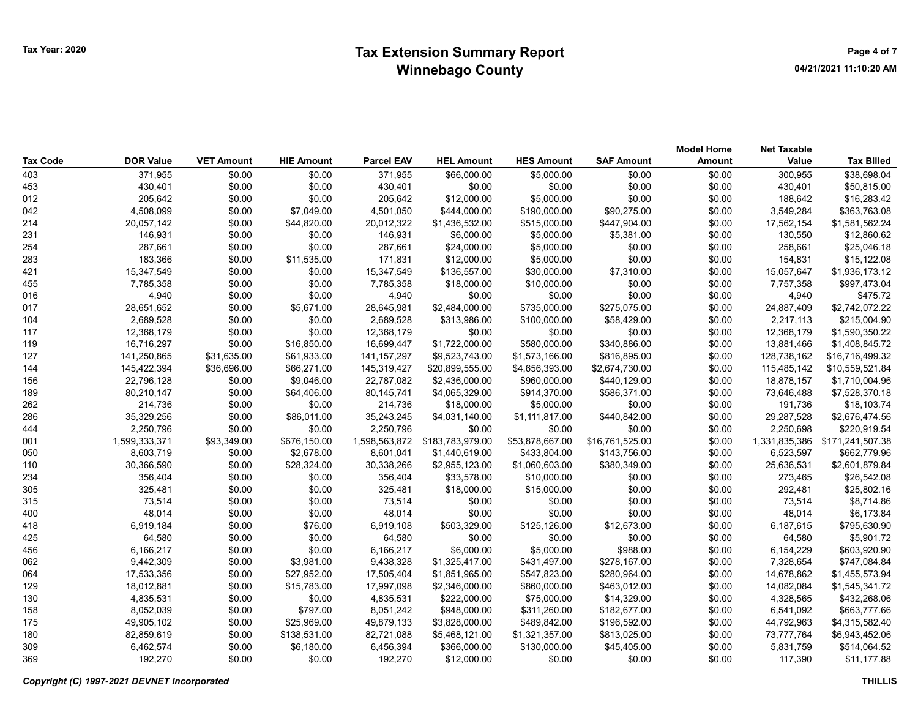| Tax Code | <b>DOR Value</b> | <b>VET Amount</b> | <b>HIE Amount</b> | <b>Parcel EAV</b> | <b>HEL Amount</b> | <b>HES Amount</b> | <b>SAF Amount</b> | <b>Model Home</b><br><b>Amount</b> | <b>Net Taxable</b><br>Value | <b>Tax Billed</b> |
|----------|------------------|-------------------|-------------------|-------------------|-------------------|-------------------|-------------------|------------------------------------|-----------------------------|-------------------|
| 403      | 371,955          | \$0.00            | \$0.00            | 371,955           | \$66,000.00       | \$5,000.00        | \$0.00            | \$0.00                             | 300,955                     | \$38,698.04       |
| 453      | 430,401          | \$0.00            | \$0.00            | 430,401           | \$0.00            | \$0.00            | \$0.00            | \$0.00                             | 430,401                     | \$50,815.00       |
| 012      | 205,642          | \$0.00            | \$0.00            | 205,642           | \$12,000.00       | \$5,000.00        | \$0.00            | \$0.00                             | 188,642                     | \$16,283.42       |
| 042      | 4,508,099        | \$0.00            | \$7,049.00        | 4,501,050         | \$444,000.00      | \$190,000.00      | \$90,275.00       | \$0.00                             | 3,549,284                   | \$363,763.08      |
| 214      | 20,057,142       | \$0.00            | \$44,820.00       | 20,012,322        | \$1,436,532.00    | \$515,000.00      | \$447,904.00      | \$0.00                             | 17,562,154                  | \$1,581,562.24    |
| 231      | 146,931          | \$0.00            | \$0.00            | 146,931           | \$6,000.00        | \$5,000.00        | \$5,381.00        | \$0.00                             | 130,550                     | \$12,860.62       |
| 254      | 287,661          | \$0.00            | \$0.00            | 287,661           | \$24,000.00       | \$5,000.00        | \$0.00            | \$0.00                             | 258,661                     | \$25,046.18       |
| 283      | 183,366          | \$0.00            | \$11,535.00       | 171,831           | \$12,000.00       | \$5,000.00        | \$0.00            | \$0.00                             | 154,831                     | \$15,122.08       |
| 421      | 15,347,549       | \$0.00            | \$0.00            | 15,347,549        | \$136,557.00      | \$30,000.00       | \$7,310.00        | \$0.00                             | 15,057,647                  | \$1,936,173.12    |
| 455      | 7,785,358        | \$0.00            | \$0.00            | 7,785,358         | \$18,000.00       | \$10,000.00       | \$0.00            | \$0.00                             | 7,757,358                   | \$997,473.04      |
| 016      | 4,940            | \$0.00            | \$0.00            | 4,940             | \$0.00            | \$0.00            | \$0.00            | \$0.00                             | 4,940                       | \$475.72          |
| 017      | 28,651,652       | \$0.00            | \$5,671.00        | 28,645,981        | \$2,484,000.00    | \$735,000.00      | \$275,075.00      | \$0.00                             | 24,887,409                  | \$2,742,072.22    |
| 104      | 2,689,528        | \$0.00            | \$0.00            | 2,689,528         | \$313,986.00      | \$100,000.00      | \$58,429.00       | \$0.00                             | 2,217,113                   | \$215,004.90      |
| 117      | 12,368,179       | \$0.00            | \$0.00            | 12,368,179        | \$0.00            | \$0.00            | \$0.00            | \$0.00                             | 12,368,179                  | \$1,590,350.22    |
| 119      | 16,716,297       | \$0.00            | \$16,850.00       | 16,699,447        | \$1,722,000.00    | \$580,000.00      | \$340,886.00      | \$0.00                             | 13,881,466                  | \$1,408,845.72    |
| 127      | 141,250,865      | \$31,635.00       | \$61,933.00       | 141, 157, 297     | \$9,523,743.00    | \$1,573,166.00    | \$816,895.00      | \$0.00                             | 128,738,162                 | \$16,716,499.32   |
| 144      | 145,422,394      | \$36,696.00       | \$66,271.00       | 145,319,427       | \$20,899,555.00   | \$4,656,393.00    | \$2,674,730.00    | \$0.00                             | 115,485,142                 | \$10,559,521.84   |
| 156      | 22,796,128       | \$0.00            | \$9,046.00        | 22,787,082        | \$2,436,000.00    | \$960,000.00      | \$440,129.00      | \$0.00                             | 18,878,157                  | \$1,710,004.96    |
| 189      | 80,210,147       | \$0.00            | \$64,406.00       | 80,145,741        | \$4,065,329.00    | \$914,370.00      | \$586,371.00      | \$0.00                             | 73,646,488                  | \$7,528,370.18    |
| 262      | 214,736          | \$0.00            | \$0.00            | 214,736           | \$18,000.00       | \$5,000.00        | \$0.00            | \$0.00                             | 191,736                     | \$18,103.74       |
| 286      | 35,329,256       | \$0.00            | \$86,011.00       | 35,243,245        | \$4,031,140.00    | \$1,111,817.00    | \$440,842.00      | \$0.00                             | 29,287,528                  | \$2,676,474.56    |
| 444      | 2,250,796        | \$0.00            | \$0.00            | 2,250,796         | \$0.00            | \$0.00            | \$0.00            | \$0.00                             | 2,250,698                   | \$220,919.54      |
| 001      | 1,599,333,371    | \$93,349.00       | \$676,150.00      | 1,598,563,872     | \$183,783,979.00  | \$53,878,667.00   | \$16,761,525.00   | \$0.00                             | 1,331,835,386               | \$171,241,507.38  |
| 050      | 8,603,719        | \$0.00            | \$2,678.00        | 8,601,041         | \$1,440,619.00    | \$433,804.00      | \$143,756.00      | \$0.00                             | 6,523,597                   | \$662,779.96      |
| 110      | 30,366,590       | \$0.00            | \$28,324.00       | 30,338,266        | \$2,955,123.00    | \$1,060,603.00    | \$380,349.00      | \$0.00                             | 25,636,531                  | \$2,601,879.84    |
| 234      | 356,404          | \$0.00            | \$0.00            | 356,404           | \$33,578.00       | \$10,000.00       | \$0.00            | \$0.00                             | 273,465                     | \$26,542.08       |
| 305      | 325,481          | \$0.00            | \$0.00            | 325,481           | \$18,000.00       | \$15,000.00       | \$0.00            | \$0.00                             | 292,481                     | \$25,802.16       |
| 315      | 73,514           | \$0.00            | \$0.00            | 73,514            | \$0.00            | \$0.00            | \$0.00            | \$0.00                             | 73,514                      | \$8,714.86        |
| 400      | 48,014           | \$0.00            | \$0.00            | 48,014            | \$0.00            | \$0.00            | \$0.00            | \$0.00                             | 48,014                      | \$6,173.84        |
| 418      | 6,919,184        | \$0.00            | \$76.00           | 6,919,108         | \$503,329.00      | \$125,126.00      | \$12,673.00       | \$0.00                             | 6,187,615                   | \$795,630.90      |
| 425      | 64,580           | \$0.00            | \$0.00            | 64,580            | \$0.00            | \$0.00            | \$0.00            | \$0.00                             | 64,580                      | \$5,901.72        |
| 456      | 6,166,217        | \$0.00            | \$0.00            | 6,166,217         | \$6,000.00        | \$5,000.00        | \$988.00          | \$0.00                             | 6,154,229                   | \$603,920.90      |
| 062      | 9,442,309        | \$0.00            | \$3,981.00        | 9,438,328         | \$1,325,417.00    | \$431,497.00      | \$278,167.00      | \$0.00                             | 7,328,654                   | \$747,084.84      |
| 064      | 17,533,356       | \$0.00            | \$27,952.00       | 17,505,404        | \$1,851,965.00    | \$547,823.00      | \$280,964.00      | \$0.00                             | 14,678,862                  | \$1,455,573.94    |
| 129      | 18,012,881       | \$0.00            | \$15,783.00       | 17,997,098        | \$2,346,000.00    | \$860,000.00      | \$463,012.00      | \$0.00                             | 14,082,084                  | \$1,545,341.72    |
| 130      | 4,835,531        | \$0.00            | \$0.00            | 4,835,531         | \$222,000.00      | \$75,000.00       | \$14,329.00       | \$0.00                             | 4,328,565                   | \$432,268.06      |
| 158      | 8,052,039        | \$0.00            | \$797.00          | 8,051,242         | \$948,000.00      | \$311,260.00      | \$182,677.00      | \$0.00                             | 6,541,092                   | \$663,777.66      |
| 175      | 49,905,102       | \$0.00            | \$25,969.00       | 49,879,133        | \$3,828,000.00    | \$489,842.00      | \$196,592.00      | \$0.00                             | 44,792,963                  | \$4,315,582.40    |
| 180      | 82,859,619       | \$0.00            | \$138,531.00      | 82,721,088        | \$5,468,121.00    | \$1,321,357.00    | \$813,025.00      | \$0.00                             | 73,777,764                  | \$6,943,452.06    |
| 309      | 6,462,574        | \$0.00            | \$6,180.00        | 6,456,394         | \$366,000.00      | \$130,000.00      | \$45,405.00       | \$0.00                             | 5,831,759                   | \$514,064.52      |
| 369      | 192,270          | \$0.00            | \$0.00            | 192,270           | \$12,000.00       | \$0.00            | \$0.00            | \$0.00                             | 117.390                     | \$11,177.88       |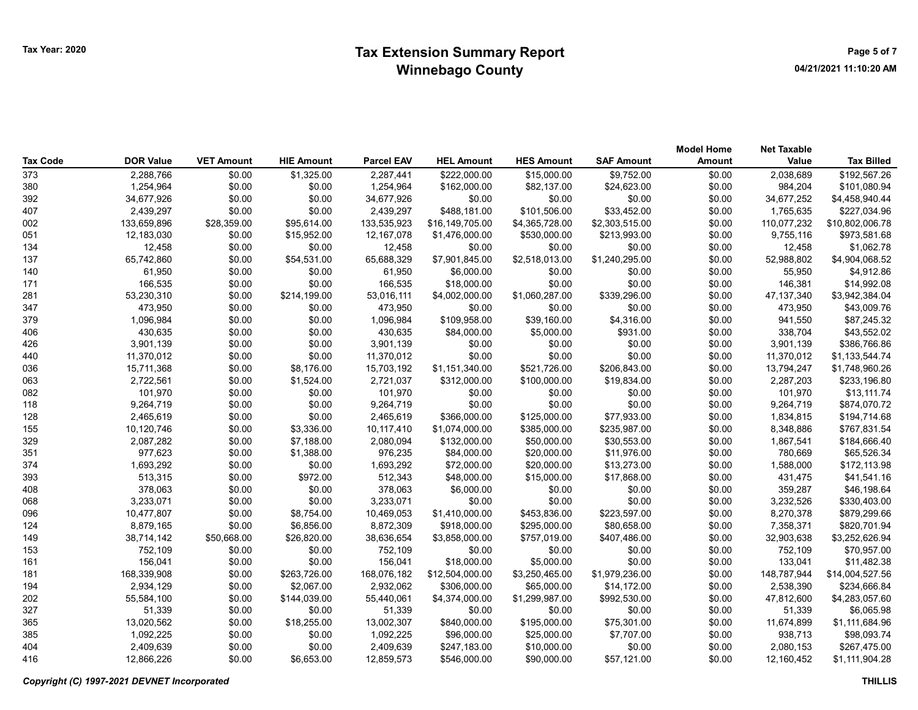|                 |                  |                   |                   |                   |                   |                   |                   | <b>Model Home</b> | <b>Net Taxable</b> |                   |
|-----------------|------------------|-------------------|-------------------|-------------------|-------------------|-------------------|-------------------|-------------------|--------------------|-------------------|
| <b>Tax Code</b> | <b>DOR Value</b> | <b>VET Amount</b> | <b>HIE Amount</b> | <b>Parcel EAV</b> | <b>HEL Amount</b> | <b>HES Amount</b> | <b>SAF Amount</b> | <b>Amount</b>     | Value              | <b>Tax Billed</b> |
| 373             | 2,288,766        | \$0.00            | \$1,325.00        | 2,287,441         | \$222,000.00      | \$15,000.00       | \$9,752.00        | \$0.00            | 2,038,689          | \$192,567.26      |
| 380             | 1,254,964        | \$0.00            | \$0.00            | 1,254,964         | \$162,000.00      | \$82,137.00       | \$24,623.00       | \$0.00            | 984,204            | \$101,080.94      |
| 392             | 34,677,926       | \$0.00            | \$0.00            | 34,677,926        | \$0.00            | \$0.00            | \$0.00            | \$0.00            | 34,677,252         | \$4,458,940.44    |
| 407             | 2,439,297        | \$0.00            | \$0.00            | 2,439,297         | \$488,181.00      | \$101,506.00      | \$33,452.00       | \$0.00            | 1,765,635          | \$227,034.96      |
| 002             | 133,659,896      | \$28,359.00       | \$95,614.00       | 133,535,923       | \$16,149,705.00   | \$4,365,728.00    | \$2,303,515.00    | \$0.00            | 110,077,232        | \$10,802,006.78   |
| 051             | 12,183,030       | \$0.00            | \$15,952.00       | 12,167,078        | \$1,476,000.00    | \$530,000.00      | \$213,993.00      | \$0.00            | 9,755,116          | \$973,581.68      |
| 134             | 12,458           | \$0.00            | \$0.00            | 12,458            | \$0.00            | \$0.00            | \$0.00            | \$0.00            | 12,458             | \$1,062.78        |
| 137             | 65,742,860       | \$0.00            | \$54,531.00       | 65,688,329        | \$7,901,845.00    | \$2,518,013.00    | \$1,240,295.00    | \$0.00            | 52,988,802         | \$4,904,068.52    |
| 140             | 61,950           | \$0.00            | \$0.00            | 61,950            | \$6,000.00        | \$0.00            | \$0.00            | \$0.00            | 55,950             | \$4,912.86        |
| 171             | 166,535          | \$0.00            | \$0.00            | 166,535           | \$18,000.00       | \$0.00            | \$0.00            | \$0.00            | 146,381            | \$14,992.08       |
| 281             | 53,230,310       | \$0.00            | \$214,199.00      | 53,016,111        | \$4,002,000.00    | \$1,060,287.00    | \$339,296.00      | \$0.00            | 47,137,340         | \$3,942,384.04    |
| 347             | 473,950          | \$0.00            | \$0.00            | 473,950           | \$0.00            | \$0.00            | \$0.00            | \$0.00            | 473,950            | \$43,009.76       |
| 379             | 1,096,984        | \$0.00            | \$0.00            | 1,096,984         | \$109,958.00      | \$39,160.00       | \$4,316.00        | \$0.00            | 941,550            | \$87,245.32       |
| 406             | 430,635          | \$0.00            | \$0.00            | 430,635           | \$84,000.00       | \$5,000.00        | \$931.00          | \$0.00            | 338,704            | \$43,552.02       |
| 426             | 3,901,139        | \$0.00            | \$0.00            | 3,901,139         | \$0.00            | \$0.00            | \$0.00            | \$0.00            | 3,901,139          | \$386,766.86      |
| 440             | 11,370,012       | \$0.00            | \$0.00            | 11,370,012        | \$0.00            | \$0.00            | \$0.00            | \$0.00            | 11,370,012         | \$1,133,544.74    |
| 036             | 15,711,368       | \$0.00            | \$8,176.00        | 15,703,192        | \$1,151,340.00    | \$521,726.00      | \$206,843.00      | \$0.00            | 13,794,247         | \$1,748,960.26    |
| 063             | 2,722,561        | \$0.00            | \$1,524.00        | 2,721,037         | \$312,000.00      | \$100,000.00      | \$19,834.00       | \$0.00            | 2,287,203          | \$233,196.80      |
| 082             | 101,970          | \$0.00            | \$0.00            | 101,970           | \$0.00            | \$0.00            | \$0.00            | \$0.00            | 101,970            | \$13,111.74       |
| 118             | 9,264,719        | \$0.00            | \$0.00            | 9,264,719         | \$0.00            | \$0.00            | \$0.00            | \$0.00            | 9,264,719          | \$874,070.72      |
| 128             | 2,465,619        | \$0.00            | \$0.00            | 2,465,619         | \$366,000.00      | \$125,000.00      | \$77,933.00       | \$0.00            | 1,834,815          | \$194,714.68      |
| 155             | 10,120,746       | \$0.00            | \$3,336.00        | 10,117,410        | \$1,074,000.00    | \$385,000.00      | \$235,987.00      | \$0.00            | 8,348,886          | \$767,831.54      |
| 329             | 2,087,282        | \$0.00            | \$7,188.00        | 2,080,094         | \$132,000.00      | \$50,000.00       | \$30,553.00       | \$0.00            | 1,867,541          | \$184,666.40      |
| 351             | 977,623          | \$0.00            | \$1,388.00        | 976,235           | \$84,000.00       | \$20,000.00       | \$11,976.00       | \$0.00            | 780,669            | \$65,526.34       |
| 374             | 1,693,292        | \$0.00            | \$0.00            | 1,693,292         | \$72,000.00       | \$20,000.00       | \$13,273.00       | \$0.00            | 1,588,000          | \$172,113.98      |
| 393             | 513,315          | \$0.00            | \$972.00          | 512,343           | \$48,000.00       | \$15,000.00       | \$17,868.00       | \$0.00            | 431,475            | \$41,541.16       |
| 408             | 378,063          | \$0.00            | \$0.00            | 378,063           | \$6,000.00        | \$0.00            | \$0.00            | \$0.00            | 359,287            | \$46,198.64       |
| 068             | 3,233,071        | \$0.00            | \$0.00            | 3,233,071         | \$0.00            | \$0.00            | \$0.00            | \$0.00            | 3,232,526          | \$330,403.00      |
| 096             | 10,477,807       | \$0.00            | \$8,754.00        | 10,469,053        | \$1,410,000.00    | \$453,836.00      | \$223,597.00      | \$0.00            | 8,270,378          | \$879,299.66      |
| 124             | 8,879,165        | \$0.00            | \$6,856.00        | 8,872,309         | \$918,000.00      | \$295,000.00      | \$80,658.00       | \$0.00            | 7,358,371          | \$820,701.94      |
| 149             | 38,714,142       | \$50,668.00       | \$26,820.00       | 38,636,654        | \$3,858,000.00    | \$757,019.00      | \$407,486.00      | \$0.00            | 32,903,638         | \$3,252,626.94    |
| 153             | 752,109          | \$0.00            | \$0.00            | 752,109           | \$0.00            | \$0.00            | \$0.00            | \$0.00            | 752,109            | \$70,957.00       |
| 161             | 156,041          | \$0.00            | \$0.00            | 156,041           | \$18,000.00       | \$5,000.00        | \$0.00            | \$0.00            | 133,041            | \$11,482.38       |
| 181             | 168,339,908      | \$0.00            | \$263,726.00      | 168,076,182       | \$12,504,000.00   | \$3,250,465.00    | \$1,979,236.00    | \$0.00            | 148,787,944        | \$14,004,527.56   |
| 194             | 2,934,129        | \$0.00            | \$2,067.00        | 2,932,062         | \$306,000.00      | \$65,000.00       | \$14,172.00       | \$0.00            | 2,538,390          | \$234,666.84      |
| 202             | 55,584,100       | \$0.00            | \$144,039.00      | 55,440,061        | \$4,374,000.00    | \$1,299,987.00    | \$992,530.00      | \$0.00            | 47,812,600         | \$4,283,057.60    |
| 327             | 51,339           | \$0.00            | \$0.00            | 51,339            | \$0.00            | \$0.00            | \$0.00            | \$0.00            | 51,339             | \$6,065.98        |
| 365             | 13,020,562       | \$0.00            | \$18,255.00       | 13,002,307        | \$840,000.00      | \$195,000.00      | \$75,301.00       | \$0.00            | 11,674,899         | \$1,111,684.96    |
| 385             | 1,092,225        | \$0.00            | \$0.00            | 1,092,225         | \$96,000.00       | \$25,000.00       | \$7,707.00        | \$0.00            | 938,713            | \$98,093.74       |
| 404             | 2,409,639        | \$0.00            | \$0.00            | 2,409,639         | \$247,183.00      | \$10,000.00       | \$0.00            | \$0.00            | 2,080,153          | \$267,475.00      |
| 416             | 12,866,226       | \$0.00            | \$6,653.00        | 12,859,573        | \$546,000.00      | \$90,000.00       | \$57,121.00       | \$0.00            | 12,160,452         | \$1,111,904.28    |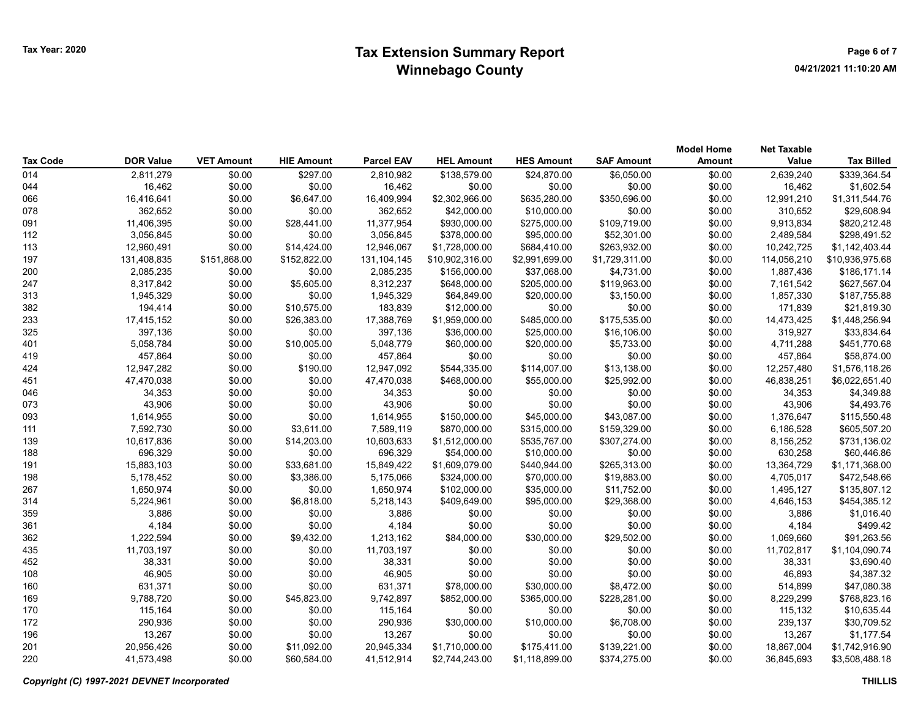| <b>Tax Code</b> | <b>DOR Value</b> | <b>VET Amount</b> | <b>HIE Amount</b> | <b>Parcel EAV</b> | <b>HEL Amount</b> | <b>HES Amount</b> | <b>SAF Amount</b> | <b>Model Home</b><br><b>Amount</b> | <b>Net Taxable</b><br>Value | <b>Tax Billed</b> |
|-----------------|------------------|-------------------|-------------------|-------------------|-------------------|-------------------|-------------------|------------------------------------|-----------------------------|-------------------|
| 014             | 2,811,279        | \$0.00            | \$297.00          | 2,810,982         | \$138,579.00      | \$24,870.00       | \$6,050.00        | \$0.00                             | 2,639,240                   | \$339,364.54      |
| 044             | 16,462           | \$0.00            | \$0.00            | 16,462            | \$0.00            | \$0.00            | \$0.00            | \$0.00                             | 16,462                      | \$1,602.54        |
| 066             | 16,416,641       | \$0.00            | \$6,647.00        | 16,409,994        | \$2,302,966.00    | \$635,280.00      | \$350,696.00      | \$0.00                             | 12,991,210                  | \$1,311,544.76    |
| 078             | 362,652          | \$0.00            | \$0.00            | 362,652           | \$42,000.00       | \$10,000.00       | \$0.00            | \$0.00                             | 310,652                     | \$29,608.94       |
| 091             | 11,406,395       | \$0.00            | \$28,441.00       | 11,377,954        | \$930,000.00      | \$275,000.00      | \$109,719.00      | \$0.00                             | 9,913,834                   | \$820,212.48      |
| 112             | 3,056,845        | \$0.00            | \$0.00            | 3,056,845         | \$378,000.00      | \$95,000.00       | \$52,301.00       | \$0.00                             | 2,489,584                   | \$298,491.52      |
| 113             | 12,960,491       | \$0.00            | \$14,424.00       | 12,946,067        | \$1,728,000.00    | \$684,410.00      | \$263,932.00      | \$0.00                             | 10,242,725                  | \$1,142,403.44    |
| 197             | 131,408,835      | \$151,868.00      | \$152,822.00      | 131,104,145       | \$10,902,316.00   | \$2,991,699.00    | \$1,729,311.00    | \$0.00                             | 114,056,210                 | \$10,936,975.68   |
| 200             | 2,085,235        | \$0.00            | \$0.00            | 2,085,235         | \$156,000.00      | \$37,068.00       | \$4,731.00        | \$0.00                             | 1,887,436                   | \$186,171.14      |
| 247             | 8,317,842        | \$0.00            | \$5,605.00        | 8,312,237         | \$648,000.00      | \$205,000.00      | \$119,963.00      | \$0.00                             | 7,161,542                   | \$627,567.04      |
| 313             | 1,945,329        | \$0.00            | \$0.00            | 1,945,329         | \$64,849.00       | \$20,000.00       | \$3,150.00        | \$0.00                             | 1,857,330                   | \$187,755.88      |
| 382             | 194,414          | \$0.00            | \$10,575.00       | 183,839           | \$12,000.00       | \$0.00            | \$0.00            | \$0.00                             | 171,839                     | \$21,819.30       |
| 233             | 17,415,152       | \$0.00            | \$26,383.00       | 17,388,769        | \$1,959,000.00    | \$485,000.00      | \$175,535.00      | \$0.00                             | 14,473,425                  | \$1,448,256.94    |
| 325             | 397,136          | \$0.00            | \$0.00            | 397,136           | \$36,000.00       | \$25,000.00       | \$16,106.00       | \$0.00                             | 319,927                     | \$33,834.64       |
| 401             | 5,058,784        | \$0.00            | \$10,005.00       | 5,048,779         | \$60,000.00       | \$20,000.00       | \$5,733.00        | \$0.00                             | 4,711,288                   | \$451,770.68      |
| 419             | 457,864          | \$0.00            | \$0.00            | 457,864           | \$0.00            | \$0.00            | \$0.00            | \$0.00                             | 457,864                     | \$58,874.00       |
| 424             | 12,947,282       | \$0.00            | \$190.00          | 12,947,092        | \$544,335.00      | \$114,007.00      | \$13,138.00       | \$0.00                             | 12,257,480                  | \$1,576,118.26    |
| 451             | 47,470,038       | \$0.00            | \$0.00            | 47,470,038        | \$468,000.00      | \$55,000.00       | \$25,992.00       | \$0.00                             | 46,838,251                  | \$6,022,651.40    |
| 046             | 34,353           | \$0.00            | \$0.00            | 34,353            | \$0.00            | \$0.00            | \$0.00            | \$0.00                             | 34,353                      | \$4,349.88        |
| 073             | 43,906           | \$0.00            | \$0.00            | 43,906            | \$0.00            | \$0.00            | \$0.00            | \$0.00                             | 43,906                      | \$4,493.76        |
| 093             | 1,614,955        | \$0.00            | \$0.00            | 1,614,955         | \$150,000.00      | \$45,000.00       | \$43,087.00       | \$0.00                             | 1,376,647                   | \$115,550.48      |
| 111             | 7,592,730        | \$0.00            | \$3,611.00        | 7,589,119         | \$870,000.00      | \$315,000.00      | \$159,329.00      | \$0.00                             | 6,186,528                   | \$605,507.20      |
| 139             | 10,617,836       | \$0.00            | \$14,203.00       | 10,603,633        | \$1,512,000.00    | \$535,767.00      | \$307,274.00      | \$0.00                             | 8,156,252                   | \$731,136.02      |
| 188             | 696,329          | \$0.00            | \$0.00            | 696,329           | \$54,000.00       | \$10,000.00       | \$0.00            | \$0.00                             | 630,258                     | \$60,446.86       |
| 191             | 15,883,103       | \$0.00            | \$33,681.00       | 15,849,422        | \$1,609,079.00    | \$440,944.00      | \$265,313.00      | \$0.00                             | 13,364,729                  | \$1,171,368.00    |
| 198             | 5,178,452        | \$0.00            | \$3,386.00        | 5,175,066         | \$324,000.00      | \$70,000.00       | \$19,883.00       | \$0.00                             | 4,705,017                   | \$472,548.66      |
| 267             | 1,650,974        | \$0.00            | \$0.00            | 1,650,974         | \$102,000.00      | \$35,000.00       | \$11,752.00       | \$0.00                             | 1,495,127                   | \$135,807.12      |
| 314             | 5,224,961        | \$0.00            | \$6,818.00        | 5,218,143         | \$409,649.00      | \$95,000.00       | \$29,368.00       | \$0.00                             | 4,646,153                   | \$454,385.12      |
| 359             | 3,886            | \$0.00            | \$0.00            | 3,886             | \$0.00            | \$0.00            | \$0.00            | \$0.00                             | 3,886                       | \$1,016.40        |
| 361             | 4,184            | \$0.00            | \$0.00            | 4,184             | \$0.00            | \$0.00            | \$0.00            | \$0.00                             | 4,184                       | \$499.42          |
| 362             | 1,222,594        | \$0.00            | \$9,432.00        | 1,213,162         | \$84,000.00       | \$30,000.00       | \$29,502.00       | \$0.00                             | 1,069,660                   | \$91,263.56       |
| 435             | 11,703,197       | \$0.00            | \$0.00            | 11,703,197        | \$0.00            | \$0.00            | \$0.00            | \$0.00                             | 11,702,817                  | \$1,104,090.74    |
| 452             | 38,331           | \$0.00            | \$0.00            | 38,331            | \$0.00            | \$0.00            | \$0.00            | \$0.00                             | 38,331                      | \$3,690.40        |
| 108             | 46,905           | \$0.00            | \$0.00            | 46,905            | \$0.00            | \$0.00            | \$0.00            | \$0.00                             | 46,893                      | \$4,387.32        |
| 160             | 631,371          | \$0.00            | \$0.00            | 631,371           | \$78,000.00       | \$30,000.00       | \$8,472.00        | \$0.00                             | 514,899                     | \$47,080.38       |
| 169             | 9,788,720        | \$0.00            | \$45,823.00       | 9,742,897         | \$852,000.00      | \$365,000.00      | \$228,281.00      | \$0.00                             | 8,229,299                   | \$768,823.16      |
| 170             | 115,164          | \$0.00            | \$0.00            | 115,164           | \$0.00            | \$0.00            | \$0.00            | \$0.00                             | 115,132                     | \$10,635.44       |
| 172             | 290,936          | \$0.00            | \$0.00            | 290,936           | \$30,000.00       | \$10,000.00       | \$6,708.00        | \$0.00                             | 239,137                     | \$30,709.52       |
| 196             | 13,267           | \$0.00            | \$0.00            | 13,267            | \$0.00            | \$0.00            | \$0.00            | \$0.00                             | 13,267                      | \$1,177.54        |
| 201             | 20,956,426       | \$0.00            | \$11,092.00       | 20,945,334        | \$1,710,000.00    | \$175,411.00      | \$139,221.00      | \$0.00                             | 18,867,004                  | \$1,742,916.90    |
| 220             | 41,573,498       | \$0.00            | \$60.584.00       | 41.512.914        | \$2.744.243.00    | \$1,118,899.00    | \$374.275.00      | \$0.00                             | 36.845.693                  | \$3,508,488.18    |